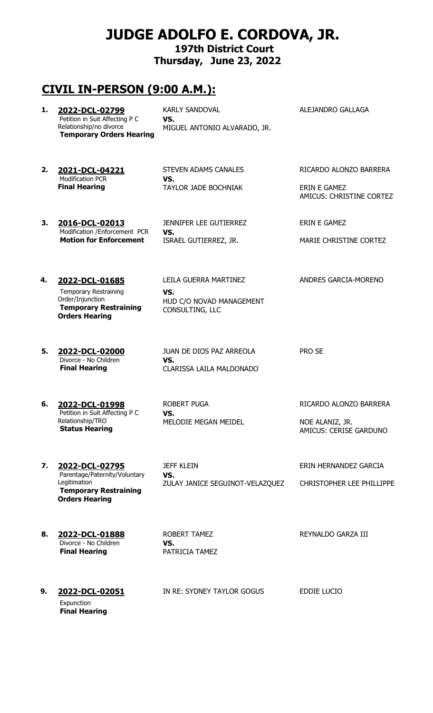## **JUDGE ADOLFO E. CORDOVA, JR.**

**197th District Court Thursday, June 23, 2022**

## **CIVIL IN-PERSON (9:00 A.M.):**

 **Final Hearing**

| 1. | 2022-DCL-02799<br>Petition in Suit Affecting P C<br>Relationship/no divorce<br><b>Temporary Orders Hearing</b>              | <b>KARLY SANDOVAL</b><br>VS.<br>MIGUEL ANTONIO ALVARADO, JR.                | ALEJANDRO GALLAGA                                                   |
|----|-----------------------------------------------------------------------------------------------------------------------------|-----------------------------------------------------------------------------|---------------------------------------------------------------------|
| 2. | 2021-DCL-04221<br><b>Modification PCR</b><br><b>Final Hearing</b>                                                           | STEVEN ADAMS CANALES<br>VS.<br><b>TAYLOR JADE BOCHNIAK</b>                  | RICARDO ALONZO BARRERA<br>ERIN E GAMEZ<br>AMICUS: CHRISTINE CORTEZ  |
| 3. | 2016-DCL-02013<br>Modification /Enforcement PCR<br><b>Motion for Enforcement</b>                                            | <b>JENNIFER LEE GUTIERREZ</b><br>VS.<br>ISRAEL GUTIERREZ, JR.               | ERIN E GAMEZ<br>MARIE CHRISTINE CORTEZ                              |
| 4. | 2022-DCL-01685<br><b>Temporary Restraining</b><br>Order/Injunction<br><b>Temporary Restraining</b><br><b>Orders Hearing</b> | LEILA GUERRA MARTINEZ<br>VS.<br>HUD C/O NOVAD MANAGEMENT<br>CONSULTING, LLC | ANDRES GARCIA-MORENO                                                |
| 5. | 2022-DCL-02000<br>Divorce - No Children<br><b>Final Hearing</b>                                                             | JUAN DE DIOS PAZ ARREOLA<br>VS.<br>CLARISSA LAILA MALDONADO                 | PRO SE                                                              |
| 6. | 2022-DCL-01998<br>Petition in Suit Affecting P C<br>Relationship/TRO<br><b>Status Hearing</b>                               | <b>ROBERT PUGA</b><br>VS.<br><b>MELODIE MEGAN MEIDEL</b>                    | RICARDO ALONZO BARRERA<br>NOE ALANIZ, JR.<br>AMICUS: CERISE GARDUNO |
| 7. | 2022-DCL-02795<br>Parentage/Paternity/Voluntary<br>Legitimation<br><b>Temporary Restraining</b><br><b>Orders Hearing</b>    | <b>JEFF KLEIN</b><br>VS.<br>ZULAY JANICE SEGUINOT-VELAZQUEZ                 | ERIN HERNANDEZ GARCIA<br>CHRISTOPHER LEE PHILLIPPE                  |
| 8. | 2022-DCL-01888<br>Divorce - No Children<br><b>Final Hearing</b>                                                             | ROBERT TAMEZ<br>VS.<br>PATRICIA TAMEZ                                       | REYNALDO GARZA III                                                  |
| 9. | 2022-DCL-02051<br>Expunction                                                                                                | IN RE: SYDNEY TAYLOR GOGUS                                                  | <b>EDDIE LUCIO</b>                                                  |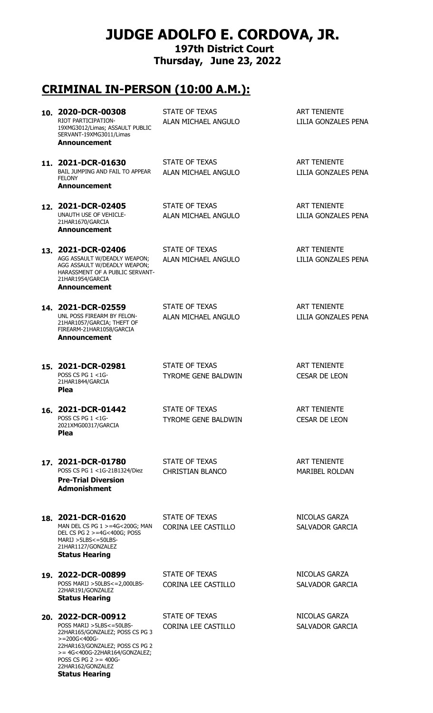## **JUDGE ADOLFO E. CORDOVA, JR.**

**197th District Court Thursday, June 23, 2022**

## **CRIMINAL IN-PERSON (10:00 A.M.):**

| 10. 2020-DCR-00308<br>RIOT PARTICIPATION-<br>19XMG3012/Limas; ASSAULT PUBLIC<br>SERVANT-19XMG3011/Limas<br><b>Announcement</b>                                                                                                                       | STATE OF TEXAS<br>ALAN MICHAEL ANGULO               | <b>ART TENIENTE</b><br><b>LILIA GONZALES PENA</b> |
|------------------------------------------------------------------------------------------------------------------------------------------------------------------------------------------------------------------------------------------------------|-----------------------------------------------------|---------------------------------------------------|
| 11. 2021-DCR-01630<br>BAIL JUMPING AND FAIL TO APPEAR<br><b>FELONY</b><br><b>Announcement</b>                                                                                                                                                        | STATE OF TEXAS<br>ALAN MICHAEL ANGULO               | <b>ART TENIENTE</b><br><b>LILIA GONZALES PENA</b> |
| 12. 2021-DCR-02405<br>UNAUTH USE OF VEHICLE-<br>21HAR1670/GARCIA<br><b>Announcement</b>                                                                                                                                                              | STATE OF TEXAS<br>ALAN MICHAEL ANGULO               | <b>ART TENIENTE</b><br>LILIA GONZALES PENA        |
| 13. 2021-DCR-02406<br>AGG ASSAULT W/DEADLY WEAPON;<br>AGG ASSAULT W/DEADLY WEAPON;<br>HARASSMENT OF A PUBLIC SERVANT-<br>21HAR1954/GARCIA<br><b>Announcement</b>                                                                                     | STATE OF TEXAS<br>ALAN MICHAEL ANGULO               | <b>ART TENIENTE</b><br><b>LILIA GONZALES PENA</b> |
| 14. 2021-DCR-02559<br>UNL POSS FIREARM BY FELON-<br>21HAR1057/GARCIA; THEFT OF<br>FIREARM-21HAR1058/GARCIA<br><b>Announcement</b>                                                                                                                    | STATE OF TEXAS<br>ALAN MICHAEL ANGULO               | <b>ART TENIENTE</b><br>LILIA GONZALES PENA        |
| 15. 2021-DCR-02981<br>POSS CS PG 1 <1G-<br>21HAR1844/GARCIA<br><b>Plea</b>                                                                                                                                                                           | STATE OF TEXAS<br><b>TYROME GENE BALDWIN</b>        | <b>ART TENIENTE</b><br><b>CESAR DE LEON</b>       |
| 16. 2021-DCR-01442<br>POSS CS PG 1 <1G-<br>2021XMG00317/GARCIA<br>Plea                                                                                                                                                                               | <b>STATE OF TEXAS</b><br><b>TYROME GENE BALDWIN</b> | <b>ART TENIENTE</b><br><b>CESAR DE LEON</b>       |
| 17. 2021-DCR-01780<br>POSS CS PG 1 <1G-21B1324/Diez<br><b>Pre-Trial Diversion</b><br><b>Admonishment</b>                                                                                                                                             | <b>STATE OF TEXAS</b><br><b>CHRISTIAN BLANCO</b>    | <b>ART TENIENTE</b><br>MARIBEL ROLDAN             |
| 18. 2021-DCR-01620<br>MAN DEL CS PG 1 >=4G<200G; MAN<br>DEL CS PG 2 >=4G<400G; POSS<br>$MARIJ > 5LBS < = 50LBS$<br>21HAR1127/GONZALEZ<br><b>Status Hearing</b>                                                                                       | STATE OF TEXAS<br><b>CORINA LEE CASTILLO</b>        | NICOLAS GARZA<br>SALVADOR GARCIA                  |
| 19. 2022-DCR-00899<br>POSS MARIJ >50LBS<=2,000LBS-<br>22HAR191/GONZALEZ<br><b>Status Hearing</b>                                                                                                                                                     | STATE OF TEXAS<br><b>CORINA LEE CASTILLO</b>        | NICOLAS GARZA<br><b>SALVADOR GARCIA</b>           |
| 20. 2022-DCR-00912<br>POSS MARIJ > 5LBS<=50LBS-<br>22HAR165/GONZALEZ; POSS CS PG 3<br>$>=$ 200G<400G-<br>22HAR163/GONZALEZ; POSS CS PG 2<br>>= 4G<400G-22HAR164/GONZALEZ;<br>POSS CS PG $2 > = 400$ G-<br>22HAR162/GONZALEZ<br><b>Status Hearing</b> | STATE OF TEXAS<br><b>CORINA LEE CASTILLO</b>        | NICOLAS GARZA<br><b>SALVADOR GARCIA</b>           |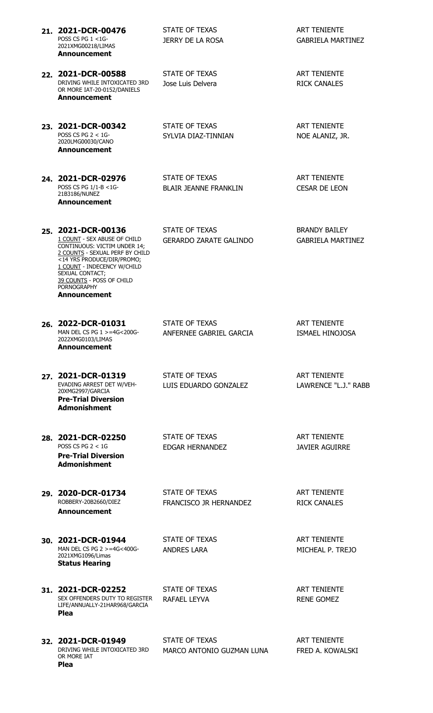| 21. 2021-DCR-00476<br>POSS CS PG 1 <1G-<br>2021XMG00218/LIMAS<br><b>Announcement</b>                                                                                                                                                                                            | <b>STATE OF TEXAS</b><br><b>JERRY DE LA ROSA</b>   | <b>ART TENIENTE</b><br><b>GABRIELA MARTINEZ</b>  |
|---------------------------------------------------------------------------------------------------------------------------------------------------------------------------------------------------------------------------------------------------------------------------------|----------------------------------------------------|--------------------------------------------------|
| 22. 2021-DCR-00588<br>DRIVING WHILE INTOXICATED 3RD<br>OR MORE IAT-20-0152/DANIELS<br><b>Announcement</b>                                                                                                                                                                       | STATE OF TEXAS<br>Jose Luis Delvera                | <b>ART TENIENTE</b><br><b>RICK CANALES</b>       |
| 23. 2021-DCR-00342<br>POSS CS PG $2 < 1$ G-<br>2020LMG00030/CANO<br><b>Announcement</b>                                                                                                                                                                                         | STATE OF TEXAS<br>SYLVIA DIAZ-TINNIAN              | <b>ART TENIENTE</b><br>NOE ALANIZ, JR.           |
| 24. 2021-DCR-02976<br>POSS CS PG 1/1-B <1G-<br>21B3186/NUNEZ<br><b>Announcement</b>                                                                                                                                                                                             | STATE OF TEXAS<br><b>BLAIR JEANNE FRANKLIN</b>     | <b>ART TENIENTE</b><br><b>CESAR DE LEON</b>      |
| 25. 2021-DCR-00136<br>1 COUNT - SEX ABUSE OF CHILD<br>CONTINUOUS: VICTIM UNDER 14;<br>2 COUNTS - SEXUAL PERF BY CHILD<br><14 YRS PRODUCE/DIR/PROMO;<br>1 COUNT - INDECENCY W/CHILD<br>SEXUAL CONTACT;<br>39 COUNTS - POSS OF CHILD<br><b>PORNOGRAPHY</b><br><b>Announcement</b> | STATE OF TEXAS<br><b>GERARDO ZARATE GALINDO</b>    | <b>BRANDY BAILEY</b><br><b>GABRIELA MARTINEZ</b> |
| 26. 2022-DCR-01031<br>MAN DEL CS PG 1 >=4G<200G-<br>2022XMG0103/LIMAS<br><b>Announcement</b>                                                                                                                                                                                    | <b>STATE OF TEXAS</b><br>ANFERNEE GABRIEL GARCIA   | <b>ART TENIENTE</b><br><b>ISMAEL HINOJOSA</b>    |
| 27. 2021-DCR-01319<br><b>EVADING ARREST DET W/VEH-</b><br>20XMG2997/GARCIA<br><b>Pre-Trial Diversion</b><br><b>Admonishment</b>                                                                                                                                                 | STATE OF TEXAS<br>LUIS EDUARDO GONZALEZ            | <b>ART TENIENTE</b><br>LAWRENCE "L.J." RABB      |
| 28. 2021-DCR-02250<br>POSS CS PG $2 < 1$ G<br><b>Pre-Trial Diversion</b><br><b>Admonishment</b>                                                                                                                                                                                 | <b>STATE OF TEXAS</b><br><b>EDGAR HERNANDEZ</b>    | <b>ART TENIENTE</b><br><b>JAVIER AGUIRRE</b>     |
| 29. 2020-DCR-01734<br>ROBBERY-20B2660/DIEZ<br><b>Announcement</b>                                                                                                                                                                                                               | <b>STATE OF TEXAS</b><br>FRANCISCO JR HERNANDEZ    | <b>ART TENIENTE</b><br><b>RICK CANALES</b>       |
| 30. 2021-DCR-01944<br>MAN DEL CS PG $2 > = 4G < 400G$<br>2021XMG1096/Limas<br><b>Status Hearing</b>                                                                                                                                                                             | <b>STATE OF TEXAS</b><br><b>ANDRES LARA</b>        | <b>ART TENIENTE</b><br>MICHEAL P. TREJO          |
| 31. 2021-DCR-02252<br>SEX OFFENDERS DUTY TO REGISTER<br>LIFE/ANNUALLY-21HAR968/GARCIA<br><b>Plea</b>                                                                                                                                                                            | <b>STATE OF TEXAS</b><br>RAFAEL LEYVA              | <b>ART TENIENTE</b><br><b>RENE GOMEZ</b>         |
| 32. 2021-DCR-01949<br>DRIVING WHILE INTOXICATED 3RD<br>OR MORE IAT<br>Plea                                                                                                                                                                                                      | <b>STATE OF TEXAS</b><br>MARCO ANTONIO GUZMAN LUNA | <b>ART TENIENTE</b><br>FRED A. KOWALSKI          |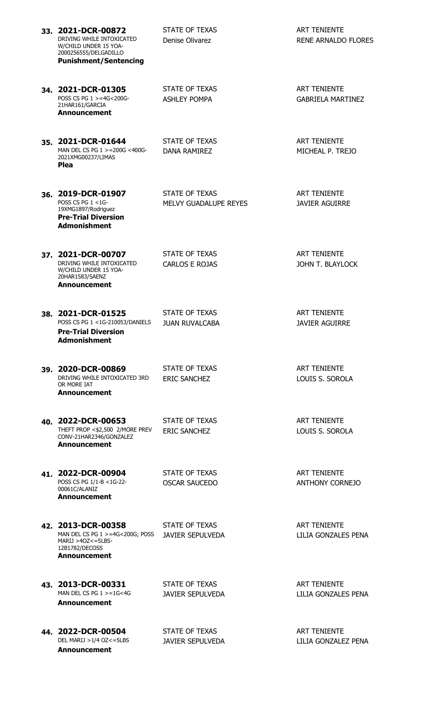| 33. 2021-DCR-00872<br>DRIVING WHILE INTOXICATED<br>W/CHILD UNDER 15 YOA-<br>2000256555/DELGADILLO<br><b>Punishment/Sentencing</b> | <b>STATE OF TEXAS</b><br>Denise Olivarez         | <b>ART TENIENTE</b><br><b>RENE ARNALDO FLORES</b> |
|-----------------------------------------------------------------------------------------------------------------------------------|--------------------------------------------------|---------------------------------------------------|
| 34. 2021-DCR-01305<br>POSS CS PG $1 > = 4G < 200G$<br>21HAR161/GARCIA<br><b>Announcement</b>                                      | <b>STATE OF TEXAS</b><br><b>ASHLEY POMPA</b>     | <b>ART TENIENTE</b><br><b>GABRIELA MARTINEZ</b>   |
| 35. 2021-DCR-01644<br>MAN DEL CS PG 1 >=200G <400G-<br>2021XMG00237/LIMAS<br><b>Plea</b>                                          | <b>STATE OF TEXAS</b><br>DANA RAMIREZ            | <b>ART TENIENTE</b><br>MICHEAL P. TREJO           |
| 36. 2019-DCR-01907<br>POSS CS PG 1 <1G-<br>19XMG1897/Rodriguez<br><b>Pre-Trial Diversion</b><br><b>Admonishment</b>               | <b>STATE OF TEXAS</b><br>MELVY GUADALUPE REYES   | <b>ART TENIENTE</b><br><b>JAVIER AGUIRRE</b>      |
| 37. 2021-DCR-00707<br>DRIVING WHILE INTOXICATED<br>W/CHILD UNDER 15 YOA-<br>20HAR1583/SAENZ<br><b>Announcement</b>                | <b>STATE OF TEXAS</b><br><b>CARLOS E ROJAS</b>   | <b>ART TENIENTE</b><br>JOHN T. BLAYLOCK           |
| 38. 2021-DCR-01525<br>POSS CS PG 1 <1G-210053/DANIELS<br><b>Pre-Trial Diversion</b><br>Admonishment                               | <b>STATE OF TEXAS</b><br><b>JUAN RUVALCABA</b>   | <b>ART TENIENTE</b><br><b>JAVIER AGUIRRE</b>      |
| 39. 2020-DCR-00869<br>DRIVING WHILE INTOXICATED 3RD<br>OR MORE IAT<br><b>Announcement</b>                                         | <b>STATE OF TEXAS</b><br><b>ERIC SANCHEZ</b>     | <b>ART TENIENTE</b><br>LOUIS S. SOROLA            |
| 40. 2022-DCR-00653<br>THEFT PROP <\$2,500 2/MORE PREV<br>CONV-21HAR2346/GONZALEZ<br><b>Announcement</b>                           | <b>STATE OF TEXAS</b><br><b>ERIC SANCHEZ</b>     | <b>ART TENIENTE</b><br>LOUIS S. SOROLA            |
| 41. 2022-DCR-00904<br>POSS CS PG 1/1-B <1G-22-<br>00061C/ALANIZ<br><b>Announcement</b>                                            | <b>STATE OF TEXAS</b><br><b>OSCAR SAUCEDO</b>    | <b>ART TENIENTE</b><br><b>ANTHONY CORNEJO</b>     |
| 42. 2013-DCR-00358<br>MAN DEL CS PG 1 >=4G<200G; POSS<br>MARIJ > 4OZ < 5LBS<br>12B1782/DECOSS<br><b>Announcement</b>              | <b>STATE OF TEXAS</b><br><b>JAVIER SEPULVEDA</b> | <b>ART TENIENTE</b><br>LILIA GONZALES PENA        |
| 43. 2013-DCR-00331<br>MAN DEL CS PG $1 > = 1$ G<4G<br><b>Announcement</b>                                                         | <b>STATE OF TEXAS</b><br><b>JAVIER SEPULVEDA</b> | <b>ART TENIENTE</b><br>LILIA GONZALES PENA        |
| 44. 2022-DCR-00504<br>DEL MARIJ > 1/4 OZ<=5LBS<br><b>Announcement</b>                                                             | <b>STATE OF TEXAS</b><br><b>JAVIER SEPULVEDA</b> | <b>ART TENIENTE</b><br>LILIA GONZALEZ PENA        |